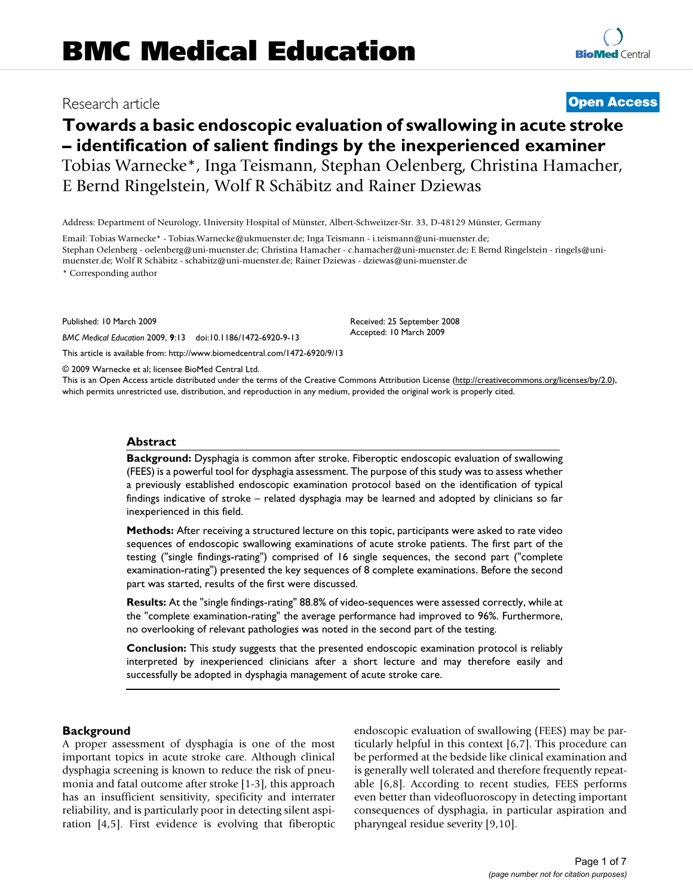# Research article **[Open Access](http://www.biomedcentral.com/info/about/charter/)**

# **Towards a basic endoscopic evaluation of swallowing in acute stroke – identification of salient findings by the inexperienced examiner** Tobias Warnecke\*, Inga Teismann, Stephan Oelenberg, Christina Hamacher, E Bernd Ringelstein, Wolf R Schäbitz and Rainer Dziewas

Address: Department of Neurology, University Hospital of Münster, Albert-Schweitzer-Str. 33, D-48129 Münster, Germany

Email: Tobias Warnecke\* - Tobias.Warnecke@ukmuenster.de; Inga Teismann - i.teismann@uni-muenster.de; Stephan Oelenberg - oelenberg@uni-muenster.de; Christina Hamacher - c.hamacher@uni-muenster.de; E Bernd Ringelstein - ringels@unimuenster.de; Wolf R Schäbitz - schabitz@uni-muenster.de; Rainer Dziewas - dziewas@uni-muenster.de

\* Corresponding author

Published: 10 March 2009

*BMC Medical Education* 2009, **9**:13 doi:10.1186/1472-6920-9-13

[This article is available from: http://www.biomedcentral.com/1472-6920/9/13](http://www.biomedcentral.com/1472-6920/9/13)

© 2009 Warnecke et al; licensee BioMed Central Ltd.

This is an Open Access article distributed under the terms of the Creative Commons Attribution License [\(http://creativecommons.org/licenses/by/2.0\)](http://creativecommons.org/licenses/by/2.0), which permits unrestricted use, distribution, and reproduction in any medium, provided the original work is properly cited.

#### **Abstract**

**Background:** Dysphagia is common after stroke. Fiberoptic endoscopic evaluation of swallowing (FEES) is a powerful tool for dysphagia assessment. The purpose of this study was to assess whether a previously established endoscopic examination protocol based on the identification of typical findings indicative of stroke – related dysphagia may be learned and adopted by clinicians so far inexperienced in this field.

**Methods:** After receiving a structured lecture on this topic, participants were asked to rate video sequences of endoscopic swallowing examinations of acute stroke patients. The first part of the testing ("single findings-rating") comprised of 16 single sequences, the second part ("complete examination-rating") presented the key sequences of 8 complete examinations. Before the second part was started, results of the first were discussed.

**Results:** At the "single findings-rating" 88.8% of video-sequences were assessed correctly, while at the "complete examination-rating" the average performance had improved to 96%. Furthermore, no overlooking of relevant pathologies was noted in the second part of the testing.

**Conclusion:** This study suggests that the presented endoscopic examination protocol is reliably interpreted by inexperienced clinicians after a short lecture and may therefore easily and successfully be adopted in dysphagia management of acute stroke care.

#### **Background**

A proper assessment of dysphagia is one of the most important topics in acute stroke care. Although clinical dysphagia screening is known to reduce the risk of pneumonia and fatal outcome after stroke [1-3], this approach has an insufficient sensitivity, specificity and interrater reliability, and is particularly poor in detecting silent aspiration [4,5]. First evidence is evolving that fiberoptic endoscopic evaluation of swallowing (FEES) may be particularly helpful in this context [6,7]. This procedure can be performed at the bedside like clinical examination and is generally well tolerated and therefore frequently repeatable [6,8]. According to recent studies, FEES performs even better than videofluoroscopy in detecting important consequences of dysphagia, in particular aspiration and pharyngeal residue severity [9,10].

Received: 25 September 2008 Accepted: 10 March 2009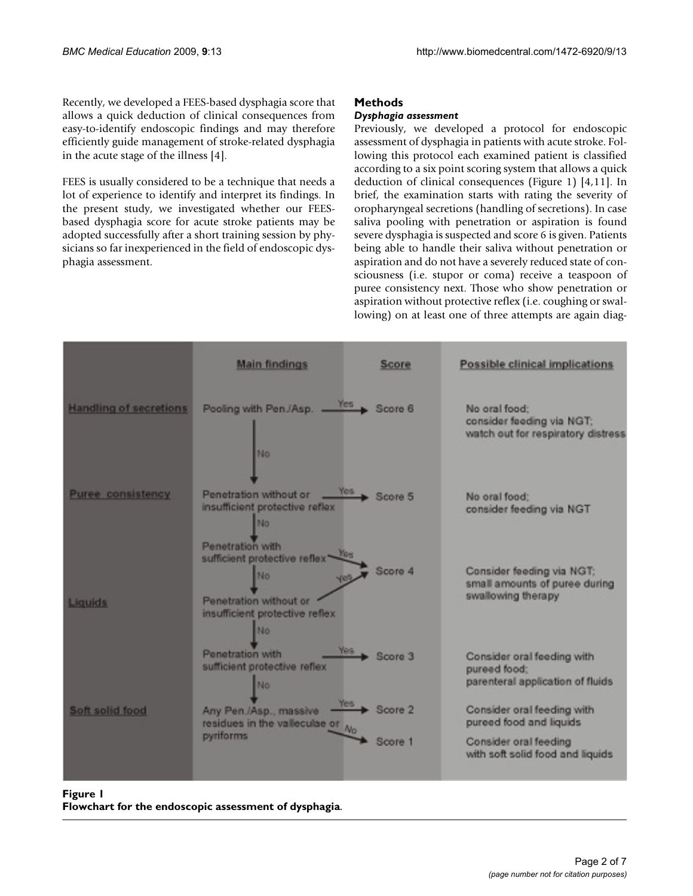Recently, we developed a FEES-based dysphagia score that allows a quick deduction of clinical consequences from easy-to-identify endoscopic findings and may therefore efficiently guide management of stroke-related dysphagia in the acute stage of the illness [4].

FEES is usually considered to be a technique that needs a lot of experience to identify and interpret its findings. In the present study, we investigated whether our FEESbased dysphagia score for acute stroke patients may be adopted successfully after a short training session by physicians so far inexperienced in the field of endoscopic dysphagia assessment.

# **Methods**

## *Dysphagia assessment*

Previously, we developed a protocol for endoscopic assessment of dysphagia in patients with acute stroke. Following this protocol each examined patient is classified according to a six point scoring system that allows a quick deduction of clinical consequences (Figure 1) [4,11]. In brief, the examination starts with rating the severity of oropharyngeal secretions (handling of secretions). In case saliva pooling with penetration or aspiration is found severe dysphagia is suspected and score 6 is given. Patients being able to handle their saliva without penetration or aspiration and do not have a severely reduced state of consciousness (i.e. stupor or coma) receive a teaspoon of puree consistency next. Those who show penetration or aspiration without protective reflex (i.e. coughing or swallowing) on at least one of three attempts are again diag-

|                               | <b>Main findings</b>                                                             | Score       | Possible clinical implications                                                   |
|-------------------------------|----------------------------------------------------------------------------------|-------------|----------------------------------------------------------------------------------|
| <b>Handling of secretions</b> | Yes <sub>n</sub><br>Pooling with Pen /Asp. -                                     | Score 6     | No oral food:<br>consider feeding via NGT;<br>watch out for respiratory distress |
|                               | No                                                                               |             |                                                                                  |
| Puree consistency             | Penetration without or<br>insufficient protective reflex<br>Na                   | Yes Score 5 | No oral food:<br>consider feeding via NGT                                        |
| <b>Liquids</b>                | Penetration with<br>sufficient protective reflex<br>No<br>Penetration without or | Score 4     | Consider feeding via NGT;<br>small amounts of puree during<br>swallowing therapy |
|                               | insufficient protective reflex<br>No                                             |             |                                                                                  |
|                               | Yes<br>Penetration with<br>sufficient protective reflex<br>No                    | Score 3     | Consider oral feeding with<br>pureed food:<br>parenteral application of fluids   |
| Soft solid food               | Yes:<br>Any Pen./Asp., massive<br>residues in the valleculae or $N_0$            | Score 2     | Consider oral feeding with<br>pureed food and liquids                            |
|                               | pyriforms                                                                        | Score 1     | Consider oral feeding<br>with soft solid food and liquids                        |

# Figure 1 **Flowchart for the endoscopic assessment of dysphagia**.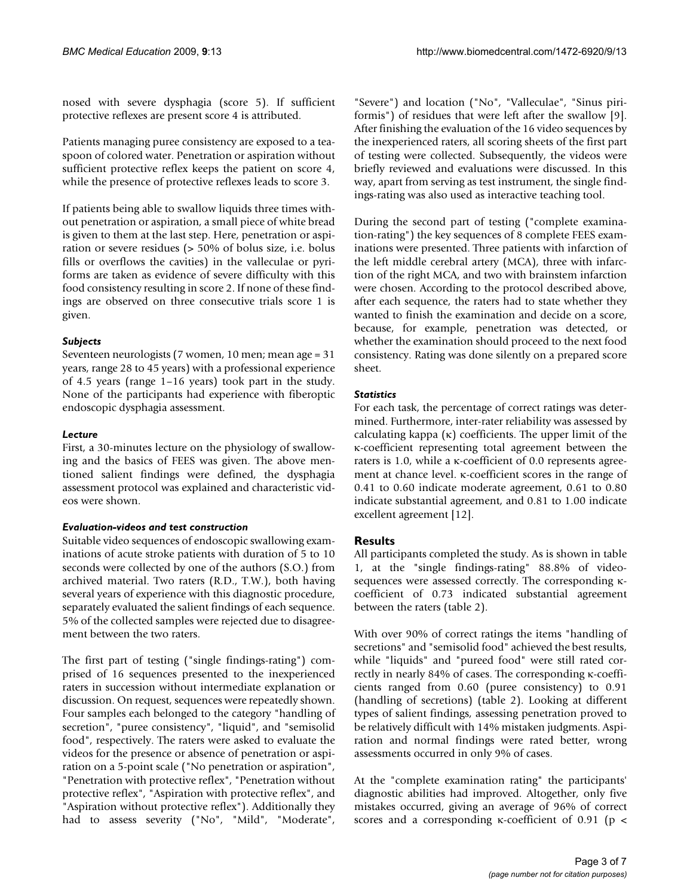nosed with severe dysphagia (score 5). If sufficient protective reflexes are present score 4 is attributed.

Patients managing puree consistency are exposed to a teaspoon of colored water. Penetration or aspiration without sufficient protective reflex keeps the patient on score 4, while the presence of protective reflexes leads to score 3.

If patients being able to swallow liquids three times without penetration or aspiration, a small piece of white bread is given to them at the last step. Here, penetration or aspiration or severe residues (> 50% of bolus size, i.e. bolus fills or overflows the cavities) in the valleculae or pyriforms are taken as evidence of severe difficulty with this food consistency resulting in score 2. If none of these findings are observed on three consecutive trials score 1 is given.

## *Subjects*

Seventeen neurologists (7 women, 10 men; mean age = 31 years, range 28 to 45 years) with a professional experience of 4.5 years (range 1–16 years) took part in the study. None of the participants had experience with fiberoptic endoscopic dysphagia assessment.

## *Lecture*

First, a 30-minutes lecture on the physiology of swallowing and the basics of FEES was given. The above mentioned salient findings were defined, the dysphagia assessment protocol was explained and characteristic videos were shown.

# *Evaluation-videos and test construction*

Suitable video sequences of endoscopic swallowing examinations of acute stroke patients with duration of 5 to 10 seconds were collected by one of the authors (S.O.) from archived material. Two raters (R.D., T.W.), both having several years of experience with this diagnostic procedure, separately evaluated the salient findings of each sequence. 5% of the collected samples were rejected due to disagreement between the two raters.

The first part of testing ("single findings-rating") comprised of 16 sequences presented to the inexperienced raters in succession without intermediate explanation or discussion. On request, sequences were repeatedly shown. Four samples each belonged to the category "handling of secretion", "puree consistency", "liquid", and "semisolid food", respectively. The raters were asked to evaluate the videos for the presence or absence of penetration or aspiration on a 5-point scale ("No penetration or aspiration", "Penetration with protective reflex", "Penetration without protective reflex", "Aspiration with protective reflex", and "Aspiration without protective reflex"). Additionally they had to assess severity ("No", "Mild", "Moderate",

"Severe") and location ("No", "Valleculae", "Sinus piriformis") of residues that were left after the swallow [9]. After finishing the evaluation of the 16 video sequences by the inexperienced raters, all scoring sheets of the first part of testing were collected. Subsequently, the videos were briefly reviewed and evaluations were discussed. In this way, apart from serving as test instrument, the single findings-rating was also used as interactive teaching tool.

During the second part of testing ("complete examination-rating") the key sequences of 8 complete FEES examinations were presented. Three patients with infarction of the left middle cerebral artery (MCA), three with infarction of the right MCA, and two with brainstem infarction were chosen. According to the protocol described above, after each sequence, the raters had to state whether they wanted to finish the examination and decide on a score, because, for example, penetration was detected, or whether the examination should proceed to the next food consistency. Rating was done silently on a prepared score sheet.

# *Statistics*

For each task, the percentage of correct ratings was determined. Furthermore, inter-rater reliability was assessed by calculating kappa  $(\kappa)$  coefficients. The upper limit of the κ-coefficient representing total agreement between the raters is 1.0, while a κ-coefficient of 0.0 represents agreement at chance level. κ-coefficient scores in the range of 0.41 to 0.60 indicate moderate agreement, 0.61 to 0.80 indicate substantial agreement, and 0.81 to 1.00 indicate excellent agreement [12].

# **Results**

All participants completed the study. As is shown in table 1, at the "single findings-rating" 88.8% of videosequences were assessed correctly. The corresponding κcoefficient of 0.73 indicated substantial agreement between the raters (table 2).

With over 90% of correct ratings the items "handling of secretions" and "semisolid food" achieved the best results, while "liquids" and "pureed food" were still rated correctly in nearly 84% of cases. The corresponding κ-coefficients ranged from 0.60 (puree consistency) to 0.91 (handling of secretions) (table 2). Looking at different types of salient findings, assessing penetration proved to be relatively difficult with 14% mistaken judgments. Aspiration and normal findings were rated better, wrong assessments occurred in only 9% of cases.

At the "complete examination rating" the participants' diagnostic abilities had improved. Altogether, only five mistakes occurred, giving an average of 96% of correct scores and a corresponding κ-coefficient of 0.91 (p <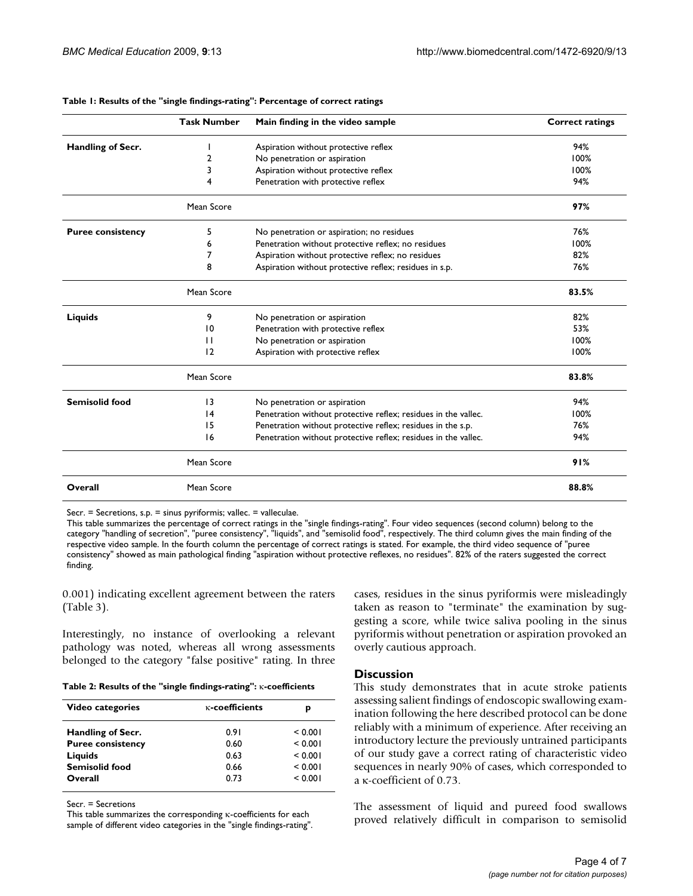|                          | <b>Task Number</b> | Main finding in the video sample                               | <b>Correct ratings</b> |
|--------------------------|--------------------|----------------------------------------------------------------|------------------------|
| Handling of Secr.        |                    | Aspiration without protective reflex                           | 94%                    |
|                          | 2                  | No penetration or aspiration                                   | 100%                   |
|                          | 3                  | Aspiration without protective reflex                           | 100%                   |
|                          | 4                  | Penetration with protective reflex                             | 94%                    |
|                          | Mean Score         |                                                                | 97%                    |
| <b>Puree consistency</b> | 5                  | No penetration or aspiration; no residues                      | 76%                    |
|                          | 6                  | Penetration without protective reflex; no residues             | 100%                   |
|                          | 7                  | Aspiration without protective reflex; no residues              | 82%                    |
|                          | 8                  | Aspiration without protective reflex; residues in s.p.         | 76%                    |
|                          | Mean Score         |                                                                | 83.5%                  |
| <b>Liquids</b>           | 9                  | No penetration or aspiration                                   | 82%                    |
|                          | 10                 | Penetration with protective reflex                             | 53%                    |
|                          | $\mathbf{H}$       | No penetration or aspiration                                   | 100%                   |
|                          | 12                 | Aspiration with protective reflex                              | 100%                   |
|                          | Mean Score         |                                                                | 83.8%                  |
| <b>Semisolid food</b>    | $\overline{13}$    | No penetration or aspiration                                   | 94%                    |
|                          | 4                  | Penetration without protective reflex; residues in the vallec. | 100%                   |
|                          | 15                 | Penetration without protective reflex; residues in the s.p.    | 76%                    |
|                          | 16                 | Penetration without protective reflex; residues in the vallec. | 94%                    |
|                          | Mean Score         |                                                                | 91%                    |
| Overall                  | Mean Score         |                                                                | 88.8%                  |

#### **Table 1: Results of the "single findings-rating": Percentage of correct ratings**

Secr. = Secretions, s.p. = sinus pyriformis; vallec. = valleculae.

This table summarizes the percentage of correct ratings in the "single findings-rating". Four video sequences (second column) belong to the category "handling of secretion", "puree consistency", "liquids", and "semisolid food", respectively. The third column gives the main finding of the respective video sample. In the fourth column the percentage of correct ratings is stated. For example, the third video sequence of "puree consistency" showed as main pathological finding "aspiration without protective reflexes, no residues". 82% of the raters suggested the correct finding.

0.001) indicating excellent agreement between the raters (Table 3).

Interestingly, no instance of overlooking a relevant pathology was noted, whereas all wrong assessments belonged to the category "false positive" rating. In three

| Video categories         | $\kappa$ -coefficients | р       |  |  |
|--------------------------|------------------------|---------|--|--|
| Handling of Secr.        | 0.91                   | < 0.001 |  |  |
| <b>Puree consistency</b> | 0.60                   | 0.001   |  |  |
| <b>Liguids</b>           | 0.63                   | < 0.001 |  |  |
| <b>Semisolid food</b>    | 0.66                   | < 0.001 |  |  |
| Overall                  | 0.73                   | < 0.001 |  |  |

Secr. = Secretions

This table summarizes the corresponding κ-coefficients for each sample of different video categories in the "single findings-rating". cases, residues in the sinus pyriformis were misleadingly taken as reason to "terminate" the examination by suggesting a score, while twice saliva pooling in the sinus pyriformis without penetration or aspiration provoked an overly cautious approach.

#### **Discussion**

This study demonstrates that in acute stroke patients assessing salient findings of endoscopic swallowing examination following the here described protocol can be done reliably with a minimum of experience. After receiving an introductory lecture the previously untrained participants of our study gave a correct rating of characteristic video sequences in nearly 90% of cases, which corresponded to a κ-coefficient of 0.73.

The assessment of liquid and pureed food swallows proved relatively difficult in comparison to semisolid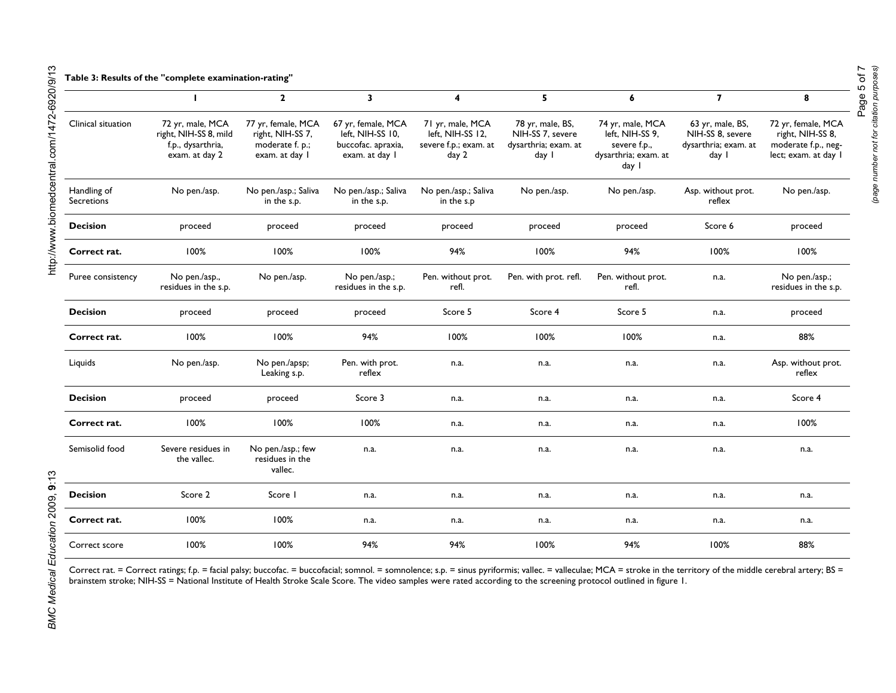| Table 3: Results of the "complete examination-rating" |                                                                                  |                                                        |  |  |
|-------------------------------------------------------|----------------------------------------------------------------------------------|--------------------------------------------------------|--|--|
|                                                       | ı                                                                                | 2                                                      |  |  |
| Clinical situation                                    | 72 yr, male, MCA<br>right, NIH-SS 8, mild<br>f.p., dysarthria,<br>exam. at day 2 | 77 yr, female<br>right, NIH-<br>moderate<br>exam. at c |  |  |
| Handling of<br>Secretions                             | No pen./asp.                                                                     | No pen./asp.<br>in the s.                              |  |  |
| Decision                                              | proceed                                                                          | procee                                                 |  |  |
| Correct rat.                                          | 100%                                                                             | $100\%$                                                |  |  |
| Puree consistency                                     | No pen./asp.,<br>residues in the s.p.                                            | No pen./:                                              |  |  |

*BMC Medical Education* 2009, **9**:13 http://www.biomedcentral.com/1472-6920/9/13

BMC Medical Education 2009, 9:13

 $\overline{\phantom{0}}$ 

http://www.biomedcentral.com/1472-6920/9/13

|                           |                                                                                  | $\mathbf{2}$                                                                | 3                                                                              | 4                                                                      | 5                                                                     | 6                                                                                    | $\overline{\mathbf{z}}$                                               | 8                                                                                     |
|---------------------------|----------------------------------------------------------------------------------|-----------------------------------------------------------------------------|--------------------------------------------------------------------------------|------------------------------------------------------------------------|-----------------------------------------------------------------------|--------------------------------------------------------------------------------------|-----------------------------------------------------------------------|---------------------------------------------------------------------------------------|
| Clinical situation        | 72 yr, male, MCA<br>right, NIH-SS 8, mild<br>f.p., dysarthria,<br>exam. at day 2 | 77 yr, female, MCA<br>right, NIH-SS 7,<br>moderate f. p.;<br>exam. at day I | 67 yr, female, MCA<br>left, NIH-SS 10,<br>buccofac. apraxia,<br>exam. at day I | 71 yr, male, MCA<br>left. NIH-SS 12.<br>severe f.p.; exam. at<br>day 2 | 78 yr, male, BS,<br>NIH-SS 7. severe<br>dysarthria; exam. at<br>day I | 74 yr, male, MCA<br>left, NIH-SS 9,<br>severe f.p.,<br>dysarthria; exam. at<br>day I | 63 yr, male, BS,<br>NIH-SS 8, severe<br>dysarthria; exam. at<br>day I | 72 yr, female, MCA<br>right, NIH-SS 8,<br>moderate f.p., neg-<br>lect; exam. at day I |
| Handling of<br>Secretions | No pen./asp.                                                                     | No pen./asp.; Saliva<br>in the s.p.                                         | No pen./asp.; Saliva<br>in the s.p.                                            | No pen./asp.; Saliva<br>in the s.p                                     | No pen./asp.                                                          | No pen./asp.                                                                         | Asp. without prot.<br>reflex                                          | No pen./asp.                                                                          |
| <b>Decision</b>           | proceed                                                                          | proceed                                                                     | proceed                                                                        | proceed                                                                | proceed                                                               | proceed                                                                              | Score 6                                                               | proceed                                                                               |
| Correct rat.              | 100%                                                                             | 100%                                                                        | 100%                                                                           | 94%                                                                    | 100%                                                                  | 94%                                                                                  | 100%                                                                  | 100%                                                                                  |
| Puree consistency         | No pen./asp.,<br>residues in the s.p.                                            | No pen./asp.                                                                | No pen./asp.;<br>residues in the s.p.                                          | Pen. without prot.<br>refl.                                            | Pen. with prot. refl.                                                 | Pen. without prot.<br>refl.                                                          | n.a.                                                                  | No pen./asp.;<br>residues in the s.p.                                                 |
| <b>Decision</b>           | proceed                                                                          | proceed                                                                     | proceed                                                                        | Score 5                                                                | Score 4                                                               | Score 5                                                                              | n.a.                                                                  | proceed                                                                               |
| Correct rat.              | 100%                                                                             | 100%                                                                        | 94%                                                                            | 100%                                                                   | 100%                                                                  | 100%                                                                                 | n.a.                                                                  | 88%                                                                                   |
| Liquids                   | No pen./asp.                                                                     | No pen./apsp;<br>Leaking s.p.                                               | Pen. with prot.<br>reflex                                                      | n.a.                                                                   | n.a.                                                                  | n.a.                                                                                 | n.a.                                                                  | Asp. without prot.<br>reflex                                                          |
| <b>Decision</b>           | proceed                                                                          | proceed                                                                     | Score 3                                                                        | n.a.                                                                   | n.a.                                                                  | n.a.                                                                                 | n.a.                                                                  | Score 4                                                                               |
| Correct rat.              | 100%                                                                             | 100%                                                                        | 100%                                                                           | n.a.                                                                   | n.a.                                                                  | n.a.                                                                                 | n.a.                                                                  | 100%                                                                                  |
| Semisolid food            | Severe residues in<br>the vallec.                                                | No pen./asp.; few<br>residues in the<br>vallec.                             | n.a.                                                                           | n.a.                                                                   | n.a.                                                                  | n.a.                                                                                 | n.a.                                                                  | n.a.                                                                                  |
| <b>Decision</b>           | Score 2                                                                          | Score I                                                                     | n.a.                                                                           | n.a.                                                                   | n.a.                                                                  | n.a.                                                                                 | n.a.                                                                  | n.a.                                                                                  |
| Correct rat.              | 100%                                                                             | 100%                                                                        | n.a.                                                                           | n.a.                                                                   | n.a.                                                                  | n.a.                                                                                 | n.a.                                                                  | n.a.                                                                                  |
| Correct score             | 100%                                                                             | 100%                                                                        | 94%                                                                            | 94%                                                                    | 100%                                                                  | 94%                                                                                  | 100%                                                                  | 88%                                                                                   |

Correct rat. = Correct ratings; f.p. = facial palsy; buccofac. = buccofacial; somnol. = somnolence; s.p. = sinus pyriformis; vallec. = valleculae; MCA = stroke in the territory of the middle cerebral artery; BS = brainstem stroke; NIH-SS = National Institute of Health Stroke Scale Score. The video samples were rated according to the screening protocol outlined in figure 1.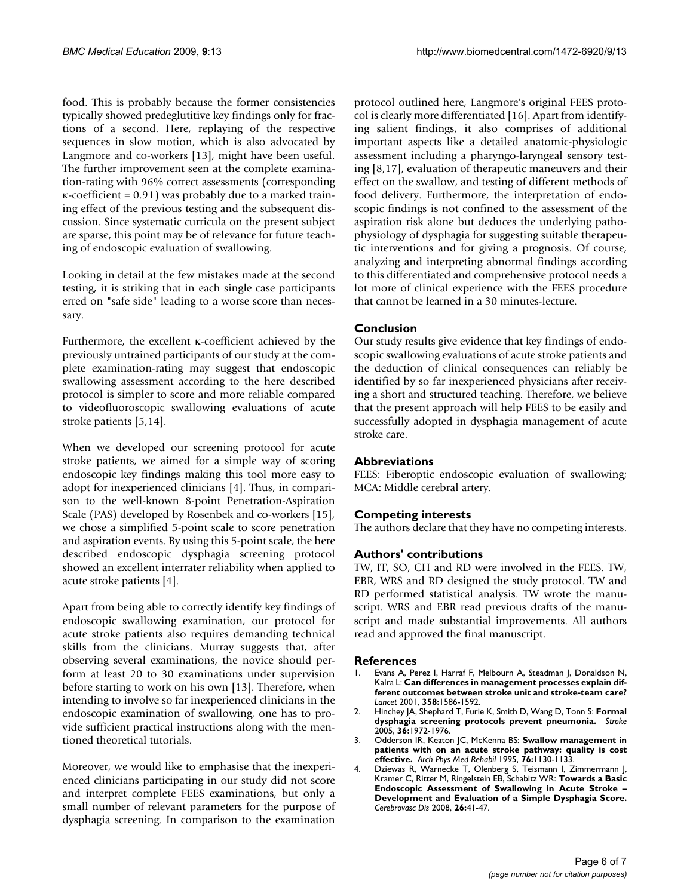food. This is probably because the former consistencies typically showed predeglutitive key findings only for fractions of a second. Here, replaying of the respective sequences in slow motion, which is also advocated by Langmore and co-workers [13], might have been useful. The further improvement seen at the complete examination-rating with 96% correct assessments (corresponding  $\kappa$ -coefficient = 0.91) was probably due to a marked training effect of the previous testing and the subsequent discussion. Since systematic curricula on the present subject are sparse, this point may be of relevance for future teaching of endoscopic evaluation of swallowing.

Looking in detail at the few mistakes made at the second testing, it is striking that in each single case participants erred on "safe side" leading to a worse score than necessary.

Furthermore, the excellent κ-coefficient achieved by the previously untrained participants of our study at the complete examination-rating may suggest that endoscopic swallowing assessment according to the here described protocol is simpler to score and more reliable compared to videofluoroscopic swallowing evaluations of acute stroke patients [5,14].

When we developed our screening protocol for acute stroke patients, we aimed for a simple way of scoring endoscopic key findings making this tool more easy to adopt for inexperienced clinicians [4]. Thus, in comparison to the well-known 8-point Penetration-Aspiration Scale (PAS) developed by Rosenbek and co-workers [15], we chose a simplified 5-point scale to score penetration and aspiration events. By using this 5-point scale, the here described endoscopic dysphagia screening protocol showed an excellent interrater reliability when applied to acute stroke patients [4].

Apart from being able to correctly identify key findings of endoscopic swallowing examination, our protocol for acute stroke patients also requires demanding technical skills from the clinicians. Murray suggests that, after observing several examinations, the novice should perform at least 20 to 30 examinations under supervision before starting to work on his own [13]. Therefore, when intending to involve so far inexperienced clinicians in the endoscopic examination of swallowing, one has to provide sufficient practical instructions along with the mentioned theoretical tutorials.

Moreover, we would like to emphasise that the inexperienced clinicians participating in our study did not score and interpret complete FEES examinations, but only a small number of relevant parameters for the purpose of dysphagia screening. In comparison to the examination

protocol outlined here, Langmore's original FEES protocol is clearly more differentiated [16]. Apart from identifying salient findings, it also comprises of additional important aspects like a detailed anatomic-physiologic assessment including a pharyngo-laryngeal sensory testing [8,17], evaluation of therapeutic maneuvers and their effect on the swallow, and testing of different methods of food delivery. Furthermore, the interpretation of endoscopic findings is not confined to the assessment of the aspiration risk alone but deduces the underlying pathophysiology of dysphagia for suggesting suitable therapeutic interventions and for giving a prognosis. Of course, analyzing and interpreting abnormal findings according to this differentiated and comprehensive protocol needs a lot more of clinical experience with the FEES procedure that cannot be learned in a 30 minutes-lecture.

# **Conclusion**

Our study results give evidence that key findings of endoscopic swallowing evaluations of acute stroke patients and the deduction of clinical consequences can reliably be identified by so far inexperienced physicians after receiving a short and structured teaching. Therefore, we believe that the present approach will help FEES to be easily and successfully adopted in dysphagia management of acute stroke care.

# **Abbreviations**

FEES: Fiberoptic endoscopic evaluation of swallowing; MCA: Middle cerebral artery.

# **Competing interests**

The authors declare that they have no competing interests.

#### **Authors' contributions**

TW, IT, SO, CH and RD were involved in the FEES. TW, EBR, WRS and RD designed the study protocol. TW and RD performed statistical analysis. TW wrote the manuscript. WRS and EBR read previous drafts of the manuscript and made substantial improvements. All authors read and approved the final manuscript.

#### **References**

- 1. Evans A, Perez I, Harraf F, Melbourn A, Steadman J, Donaldson N, Kalra L: **[Can differences in management processes explain dif](http://www.ncbi.nlm.nih.gov/entrez/query.fcgi?cmd=Retrieve&db=PubMed&dopt=Abstract&list_uids=11716885)[ferent outcomes between stroke unit and stroke-team care?](http://www.ncbi.nlm.nih.gov/entrez/query.fcgi?cmd=Retrieve&db=PubMed&dopt=Abstract&list_uids=11716885)** *Lancet* 2001, **358:**1586-1592.
- 2. Hinchey JA, Shephard T, Furie K, Smith D, Wang D, Tonn S: **[Formal](http://www.ncbi.nlm.nih.gov/entrez/query.fcgi?cmd=Retrieve&db=PubMed&dopt=Abstract&list_uids=16109909) [dysphagia screening protocols prevent pneumonia.](http://www.ncbi.nlm.nih.gov/entrez/query.fcgi?cmd=Retrieve&db=PubMed&dopt=Abstract&list_uids=16109909)** *Stroke* 2005, **36:**1972-1976.
- 3. Odderson IR, Keaton JC, McKenna BS: **[Swallow management in](http://www.ncbi.nlm.nih.gov/entrez/query.fcgi?cmd=Retrieve&db=PubMed&dopt=Abstract&list_uids=8540789) [patients with on an acute stroke pathway: quality is cost](http://www.ncbi.nlm.nih.gov/entrez/query.fcgi?cmd=Retrieve&db=PubMed&dopt=Abstract&list_uids=8540789) [effective.](http://www.ncbi.nlm.nih.gov/entrez/query.fcgi?cmd=Retrieve&db=PubMed&dopt=Abstract&list_uids=8540789)** *Arch Phys Med Rehabil* 1995, **76:**1130-1133.
- 4. Dziewas R, Warnecke T, Olenberg S, Teismann I, Zimmermann J, Kramer C, Ritter M, Ringelstein EB, Schabitz WR: **[Towards a Basic](http://www.ncbi.nlm.nih.gov/entrez/query.fcgi?cmd=Retrieve&db=PubMed&dopt=Abstract&list_uids=18511871) [Endoscopic Assessment of Swallowing in Acute Stroke –](http://www.ncbi.nlm.nih.gov/entrez/query.fcgi?cmd=Retrieve&db=PubMed&dopt=Abstract&list_uids=18511871) Development and Evaluation of a Simple Dysphagia Score.** *Cerebrovasc Dis* 2008, **26:**41-47.